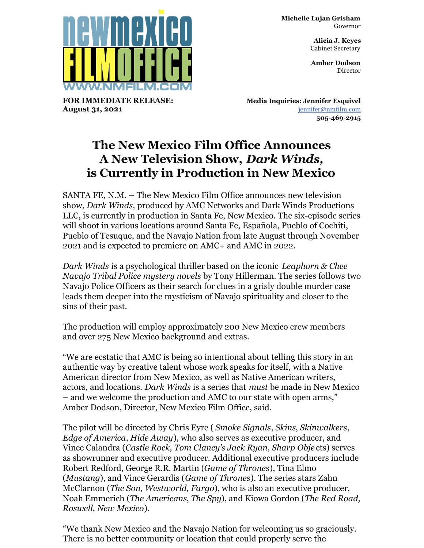**Michelle Lujan Grisham** Governor

> **Alicia J. Keyes** Cabinet Secretary

> **Amber Dodson Director**



**FOR IMMEDIATE RELEASE: August 31, 2021**

**Media Inquiries: Jennifer Esquivel** [jennifer@nmfilm.com](mailto:jennifer@nmfilm.com) **505-469-2915**

## **The New Mexico Film Office Announces A New Television Show,** *Dark Winds,* **is Currently in Production in New Mexico**

SANTA FE, N.M. – The New Mexico Film Office announces new television show, *Dark Winds,* produced by AMC Networks and Dark Winds Productions LLC, is currently in production in Santa Fe, New Mexico. The six-episode series will shoot in various locations around Santa Fe, Española, Pueblo of Cochiti, Pueblo of Tesuque, and the Navajo Nation from late August through November 2021 and is expected to premiere on AMC+ and AMC in 2022.

*Dark Winds* is a psychological thriller based on the iconic *Leaphorn & Chee Navajo Tribal Police mystery novels* by Tony Hillerman. The series follows two Navajo Police Officers as their search for clues in a grisly double murder case leads them deeper into the mysticism of Navajo spirituality and closer to the sins of their past.

The production will employ approximately 200 New Mexico crew members and over 275 New Mexico background and extras.

"We are ecstatic that AMC is being so intentional about telling this story in an authentic way by creative talent whose work speaks for itself, with a Native American director from New Mexico, as well as Native American writers, actors, and locations. *Dark Winds* is a series that *must* be made in New Mexico – and we welcome the production and AMC to our state with open arms," Amber Dodson, Director, New Mexico Film Office, said.

The pilot will be directed by Chris Eyre ( *Smoke Signals*, *Skins*, *Skinwalkers*, *Edge of America*, *Hide Away*), who also serves as executive producer, and Vince Calandra (*Castle Rock, Tom Clancy's Jack Ryan, Sharp Obje* cts) serves as showrunner and executive producer. Additional executive producers include Robert Redford, George R.R. Martin (*Game of Thrones*), Tina Elmo (*Mustang*), and Vince Gerardis (*Game of Thrones*). The series stars Zahn McClarnon (*The Son, Westworld, Fargo*), who is also an executive producer, Noah Emmerich (*The Americans*, *The Spy*), and Kiowa Gordon (*The Red Road, Roswell, New Mexico*).

"We thank New Mexico and the Navajo Nation for welcoming us so graciously. There is no better community or location that could properly serve the